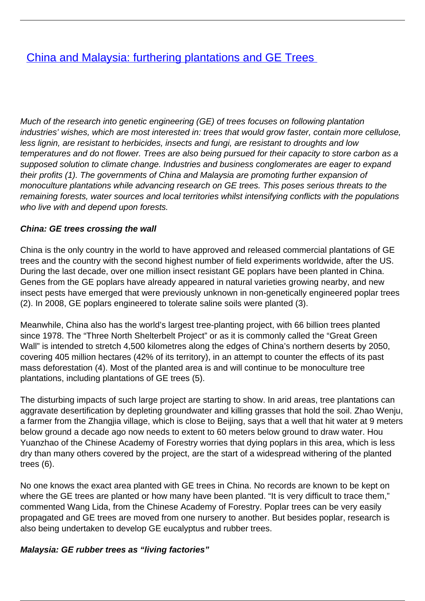## **[China and Malaysia: furthering plantations and GE Trees](/bulletin-articles/china-and-malaysia-furthering-plantations-and-ge-trees)**

Much of the research into genetic engineering (GE) of trees focuses on following plantation industries' wishes, which are most interested in: trees that would grow faster, contain more cellulose, less lignin, are resistant to herbicides, insects and fungi, are resistant to droughts and low temperatures and do not flower. Trees are also being pursued for their capacity to store carbon as a supposed solution to climate change. Industries and business conglomerates are eager to expand their profits (1). The governments of China and Malaysia are promoting further expansion of monoculture plantations while advancing research on GE trees. This poses serious threats to the remaining forests, water sources and local territories whilst intensifying conflicts with the populations who live with and depend upon forests.

## **China: GE trees crossing the wall**

China is the only country in the world to have approved and released commercial plantations of GE trees and the country with the second highest number of field experiments worldwide, after the US. During the last decade, over one million insect resistant GE poplars have been planted in China. Genes from the GE poplars have already appeared in natural varieties growing nearby, and new insect pests have emerged that were previously unknown in non-genetically engineered poplar trees (2). In 2008, GE poplars engineered to tolerate saline soils were planted (3).

Meanwhile, China also has the world's largest tree-planting project, with 66 billion trees planted since 1978. The "Three North Shelterbelt Project" or as it is commonly called the "Great Green Wall" is intended to stretch 4,500 kilometres along the edges of China's northern deserts by 2050, covering 405 million hectares (42% of its territory), in an attempt to counter the effects of its past mass deforestation (4). Most of the planted area is and will continue to be monoculture tree plantations, including plantations of GE trees (5).

The disturbing impacts of such large project are starting to show. In arid areas, tree plantations can aggravate desertification by depleting groundwater and killing grasses that hold the soil. Zhao Wenju, a farmer from the Zhangjia village, which is close to Beijing, says that a well that hit water at 9 meters below ground a decade ago now needs to extent to 60 meters below ground to draw water. Hou Yuanzhao of the Chinese Academy of Forestry worries that dying poplars in this area, which is less dry than many others covered by the project, are the start of a widespread withering of the planted trees (6).

No one knows the exact area planted with GE trees in China. No records are known to be kept on where the GE trees are planted or how many have been planted. "It is very difficult to trace them," commented Wang Lida, from the Chinese Academy of Forestry. Poplar trees can be very easily propagated and GE trees are moved from one nursery to another. But besides poplar, research is also being undertaken to develop GE eucalyptus and rubber trees.

## **Malaysia: GE rubber trees as "living factories"**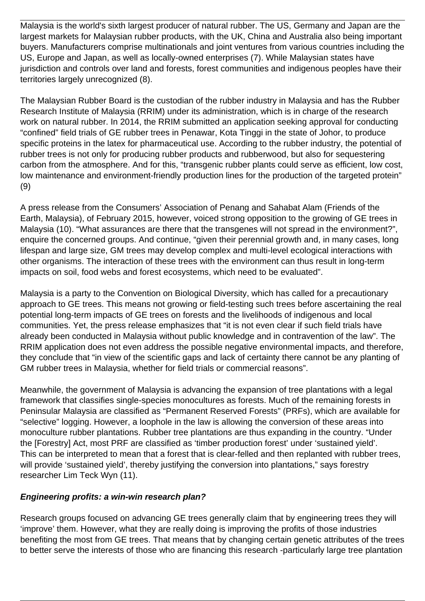Malaysia is the world's sixth largest producer of natural rubber. The US, Germany and Japan are the largest markets for Malaysian rubber products, with the UK, China and Australia also being important buyers. Manufacturers comprise multinationals and joint ventures from various countries including the US, Europe and Japan, as well as locally-owned enterprises (7). While Malaysian states have jurisdiction and controls over land and forests, forest communities and indigenous peoples have their territories largely unrecognized (8).

The Malaysian Rubber Board is the custodian of the rubber industry in Malaysia and has the Rubber Research Institute of Malaysia (RRIM) under its administration, which is in charge of the research work on natural rubber. In 2014, the RRIM submitted an application seeking approval for conducting "confined" field trials of GE rubber trees in Penawar, Kota Tinggi in the state of Johor, to produce specific proteins in the latex for pharmaceutical use. According to the rubber industry, the potential of rubber trees is not only for producing rubber products and rubberwood, but also for sequestering carbon from the atmosphere. And for this, "transgenic rubber plants could serve as efficient, low cost, low maintenance and environment-friendly production lines for the production of the targeted protein" (9)

A press release from the Consumers' Association of Penang and Sahabat Alam (Friends of the Earth, Malaysia), of February 2015, however, voiced strong opposition to the growing of GE trees in Malaysia (10). "What assurances are there that the transgenes will not spread in the environment?", enquire the concerned groups. And continue, "given their perennial growth and, in many cases, long lifespan and large size, GM trees may develop complex and multi-level ecological interactions with other organisms. The interaction of these trees with the environment can thus result in long-term impacts on soil, food webs and forest ecosystems, which need to be evaluated".

Malaysia is a party to the Convention on Biological Diversity, which has called for a precautionary approach to GE trees. This means not growing or field-testing such trees before ascertaining the real potential long-term impacts of GE trees on forests and the livelihoods of indigenous and local communities. Yet, the press release emphasizes that "it is not even clear if such field trials have already been conducted in Malaysia without public knowledge and in contravention of the law". The RRIM application does not even address the possible negative environmental impacts, and therefore, they conclude that "in view of the scientific gaps and lack of certainty there cannot be any planting of GM rubber trees in Malaysia, whether for field trials or commercial reasons".

Meanwhile, the government of Malaysia is advancing the expansion of tree plantations with a legal framework that classifies single-species monocultures as forests. Much of the remaining forests in Peninsular Malaysia are classified as "Permanent Reserved Forests" (PRFs), which are available for "selective" logging. However, a loophole in the law is allowing the conversion of these areas into monoculture rubber plantations. Rubber tree plantations are thus expanding in the country. "Under the [Forestry] Act, most PRF are classified as 'timber production forest' under 'sustained yield'. This can be interpreted to mean that a forest that is clear-felled and then replanted with rubber trees, will provide 'sustained yield', thereby justifying the conversion into plantations," says forestry researcher Lim Teck Wyn (11).

## **Engineering profits: a win-win research plan?**

Research groups focused on advancing GE trees generally claim that by engineering trees they will 'improve' them. However, what they are really doing is improving the profits of those industries benefiting the most from GE trees. That means that by changing certain genetic attributes of the trees to better serve the interests of those who are financing this research -particularly large tree plantation